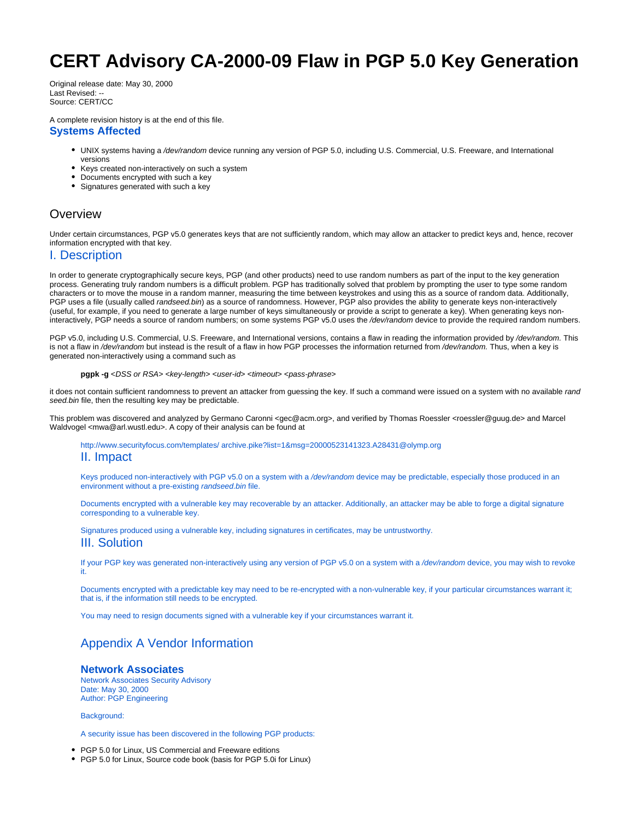# **CERT Advisory CA-2000-09 Flaw in PGP 5.0 Key Generation**

Original release date: May 30, 2000 Last Revised: -- Source: CERT/CC

A complete revision history is at the end of this file.

#### **Systems Affected**

- UNIX systems having a /dev/random device running any version of PGP 5.0, including U.S. Commercial, U.S. Freeware, and International versions
- Keys created non-interactively on such a system
- Documents encrypted with such a key
- Signatures generated with such a key

# **Overview**

Under certain circumstances, PGP v5.0 generates keys that are not sufficiently random, which may allow an attacker to predict keys and, hence, recover information encrypted with that key.

## I. Description

In order to generate cryptographically secure keys, PGP (and other products) need to use random numbers as part of the input to the key generation process. Generating truly random numbers is a difficult problem. PGP has traditionally solved that problem by prompting the user to type some random characters or to move the mouse in a random manner, measuring the time between keystrokes and using this as a source of random data. Additionally, PGP uses a file (usually called randseed.bin) as a source of randomness. However, PGP also provides the ability to generate keys non-interactively (useful, for example, if you need to generate a large number of keys simultaneously or provide a script to generate a key). When generating keys noninteractively, PGP needs a source of random numbers; on some systems PGP v5.0 uses the /dev/random device to provide the required random numbers.

PGP v5.0, including U.S. Commercial, U.S. Freeware, and International versions, contains a flaw in reading the information provided by /dev/random. This is not a flaw in /dev/random but instead is the result of a flaw in how PGP processes the information returned from /dev/random. Thus, when a key is generated non-interactively using a command such as

#### **pgpk -g** <DSS or RSA> <key-length> <user-id> <timeout> <pass-phrase>

it does not contain sufficient randomness to prevent an attacker from guessing the key. If such a command were issued on a system with no available rand seed.bin file, then the resulting key may be predictable.

This problem was discovered and analyzed by Germano Caronni <gec@acm.org>, and verified by Thomas Roessler <roessler@guug.de> and Marcel Waldvogel <mwa@arl.wustl.edu>. A copy of their analysis can be found at

[http://www.securityfocus.com/templates/ archive.pike?list=1&msg=20000523141323.A28431@olymp.org](http://www.securityfocus.com/templates/archive.pike?list=1&msg=20000523141323.A28431@olymp.org)

### II. Impact

Keys produced non-interactively with PGP v5.0 on a system with a /dev/random device may be predictable, especially those produced in an environment without a pre-existing randseed.bin file.

Documents encrypted with a vulnerable key may recoverable by an attacker. Additionally, an attacker may be able to forge a digital signature corresponding to a vulnerable key.

Signatures produced using a vulnerable key, including signatures in certificates, may be untrustworthy. III. Solution

If your PGP key was generated non-interactively using any version of PGP v5.0 on a system with a /dev/random device, you may wish to revoke it.

Documents encrypted with a predictable key may need to be re-encrypted with a non-vulnerable key, if your particular circumstances warrant it; that is, if the information still needs to be encrypted.

You may need to resign documents signed with a vulnerable key if your circumstances warrant it.

# Appendix A Vendor Information

#### **Network Associates**

Network Associates Security Advisory Date: May 30, 2000 Author: PGP Engineering

Background:

A security issue has been discovered in the following PGP products:

PGP 5.0 for Linux, US Commercial and Freeware editions

PGP 5.0 for Linux, Source code book (basis for PGP 5.0i for Linux)